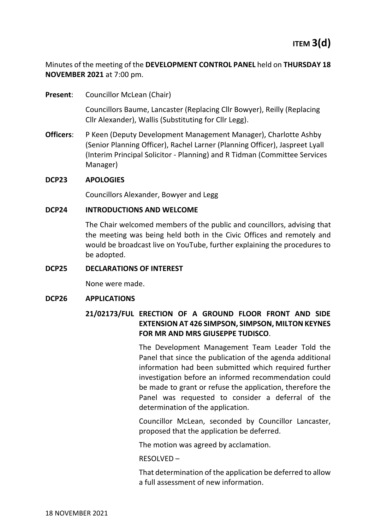Minutes of the meeting of the **DEVELOPMENT CONTROL PANEL** held on **THURSDAY 18 NOVEMBER 2021** at 7:00 pm.

**Present:** Councillor McLean (Chair)

Councillors Baume, Lancaster (Replacing Cllr Bowyer), Reilly (Replacing Cllr Alexander), Wallis (Substituting for Cllr Legg).

**Officers**: P Keen (Deputy Development Management Manager), Charlotte Ashby (Senior Planning Officer), Rachel Larner (Planning Officer), Jaspreet Lyall (Interim Principal Solicitor - Planning) and R Tidman (Committee Services Manager)

### **DCP23 APOLOGIES**

Councillors Alexander, Bowyer and Legg

### **DCP24 INTRODUCTIONS AND WELCOME**

The Chair welcomed members of the public and councillors, advising that the meeting was being held both in the Civic Offices and remotely and would be broadcast live on YouTube, further explaining the procedures to be adopted.

### **DCP25 DECLARATIONS OF INTEREST**

None were made.

### **DCP26 APPLICATIONS**

## **21/02173/FUL ERECTION OF A GROUND FLOOR FRONT AND SIDE EXTENSION AT 426 SIMPSON, SIMPSON, MILTON KEYNES FOR MR AND MRS GIUSEPPE TUDISCO**.

The Development Management Team Leader Told the Panel that since the publication of the agenda additional information had been submitted which required further investigation before an informed recommendation could be made to grant or refuse the application, therefore the Panel was requested to consider a deferral of the determination of the application.

Councillor McLean, seconded by Councillor Lancaster, proposed that the application be deferred.

The motion was agreed by acclamation.

### RESOLVED –

That determination of the application be deferred to allow a full assessment of new information.